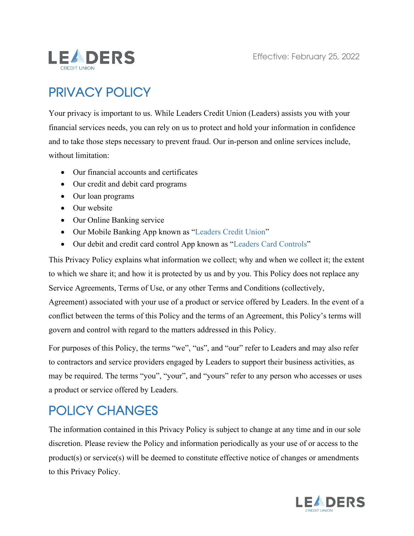

# PRIVACY POLICY

Your privacy is important to us. While Leaders Credit Union (Leaders) assists you with your financial services needs, you can rely on us to protect and hold your information in confidence and to take those steps necessary to prevent fraud. Our in-person and online services include, without limitation:

- Our financial accounts and certificates
- Our credit and debit card programs
- Our loan programs
- Our website
- Our Online Banking service
- Our Mobile Banking App known as "Leaders Credit Union"
- Our debit and credit card control App known as "Leaders Card Controls"

This Privacy Policy explains what information we collect; why and when we collect it; the extent to which we share it; and how it is protected by us and by you. This Policy does not replace any Service Agreements, Terms of Use, or any other Terms and Conditions (collectively,

Agreement) associated with your use of a product or service offered by Leaders. In the event of a conflict between the terms of this Policy and the terms of an Agreement, this Policy's terms will govern and control with regard to the matters addressed in this Policy.

For purposes of this Policy, the terms "we", "us", and "our" refer to Leaders and may also refer to contractors and service providers engaged by Leaders to support their business activities, as may be required. The terms "you", "your", and "yours" refer to any person who accesses or uses a product or service offered by Leaders.

### POLICY CHANGES

The information contained in this Privacy Policy is subject to change at any time and in our sole discretion. Please review the Policy and information periodically as your use of or access to the product(s) or service(s) will be deemed to constitute effective notice of changes or amendments to this Privacy Policy.

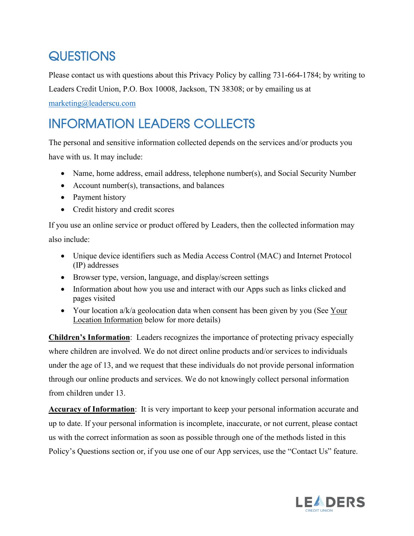## **QUESTIONS**

Please contact us with questions about this Privacy Policy by calling 731-664-1784; by writing to Leaders Credit Union, P.O. Box 10008, Jackson, TN 38308; or by emailing us at [marketing@leaderscu.com](mailto:marketing@leaderscu.com)

# INFORMATION LEADERS COLLECTS

The personal and sensitive information collected depends on the services and/or products you have with us. It may include:

- Name, home address, email address, telephone number(s), and Social Security Number
- Account number(s), transactions, and balances
- Payment history
- Credit history and credit scores

If you use an online service or product offered by Leaders, then the collected information may also include:

- Unique device identifiers such as Media Access Control (MAC) and Internet Protocol (IP) addresses
- Browser type, version, language, and display/screen settings
- Information about how you use and interact with our Apps such as links clicked and pages visited
- Your location a/k/a geolocation data when consent has been given by you (See Your Location Information below for more details)

**Children's Information**: Leaders recognizes the importance of protecting privacy especially where children are involved. We do not direct online products and/or services to individuals under the age of 13, and we request that these individuals do not provide personal information through our online products and services. We do not knowingly collect personal information from children under 13.

**Accuracy of Information**: It is very important to keep your personal information accurate and up to date. If your personal information is incomplete, inaccurate, or not current, please contact us with the correct information as soon as possible through one of the methods listed in this Policy's Questions section or, if you use one of our App services, use the "Contact Us" feature.

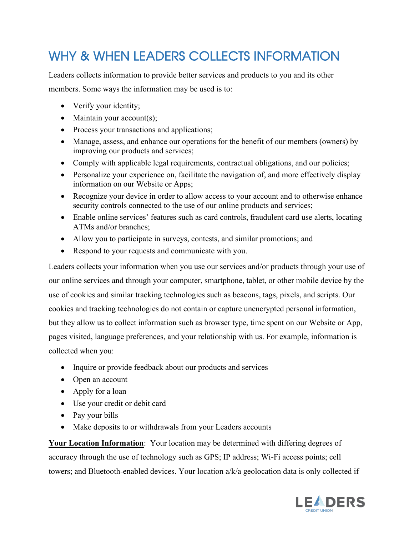# WHY & WHEN LEADERS COLLECTS INFORMATION

Leaders collects information to provide better services and products to you and its other members. Some ways the information may be used is to:

- Verify your identity;
- Maintain your account(s);
- Process your transactions and applications;
- Manage, assess, and enhance our operations for the benefit of our members (owners) by improving our products and services;
- Comply with applicable legal requirements, contractual obligations, and our policies;
- Personalize your experience on, facilitate the navigation of, and more effectively display information on our Website or Apps;
- Recognize your device in order to allow access to your account and to otherwise enhance security controls connected to the use of our online products and services;
- Enable online services' features such as card controls, fraudulent card use alerts, locating ATMs and/or branches;
- Allow you to participate in surveys, contests, and similar promotions; and
- Respond to your requests and communicate with you.

Leaders collects your information when you use our services and/or products through your use of our online services and through your computer, smartphone, tablet, or other mobile device by the use of cookies and similar tracking technologies such as beacons, tags, pixels, and scripts. Our cookies and tracking technologies do not contain or capture unencrypted personal information, but they allow us to collect information such as browser type, time spent on our Website or App, pages visited, language preferences, and your relationship with us. For example, information is collected when you:

- Inquire or provide feedback about our products and services
- Open an account
- Apply for a loan
- Use your credit or debit card
- Pay your bills
- Make deposits to or withdrawals from your Leaders accounts

**Your Location Information**: Your location may be determined with differing degrees of accuracy through the use of technology such as GPS; IP address; Wi-Fi access points; cell towers; and Bluetooth-enabled devices. Your location a/k/a geolocation data is only collected if

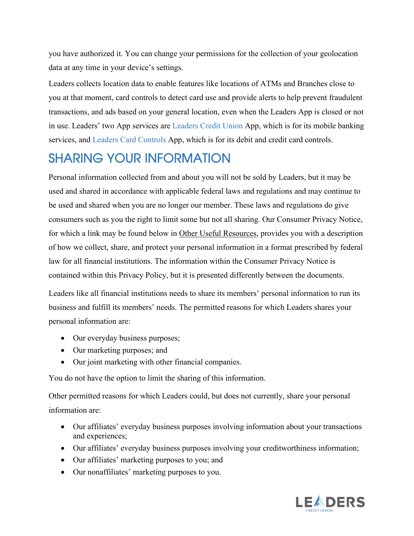you have authorized it. You can change your permissions for the collection of your geolocation data at any time in your device's settings.

Leaders collects location data to enable features like locations of ATMs and Branches close to you at that moment, card controls to detect card use and provide alerts to help prevent fraudulent transactions, and ads based on your general location, even when the Leaders App is closed or not in use. Leaders' two App services are Leaders Credit Union App, which is for its mobile banking services, and Leaders Card Controls App, which is for its debit and credit card controls.

### SHARING YOUR INFORMATION

Personal information collected from and about you will not be sold by Leaders, but it may be used and shared in accordance with applicable federal laws and regulations and may continue to be used and shared when you are no longer our member. These laws and regulations do give consumers such as you the right to limit some but not all sharing. Our Consumer Privacy Notice, for which a link may be found below in Other Useful Resources, provides you with a description of how we collect, share, and protect your personal information in a format prescribed by federal law for all financial institutions. The information within the Consumer Privacy Notice is contained within this Privacy Policy, but it is presented differently between the documents.

Leaders like all financial institutions needs to share its members' personal information to run its business and fulfill its members' needs. The permitted reasons for which Leaders shares your personal information are:

- Our everyday business purposes;
- Our marketing purposes; and
- Our joint marketing with other financial companies.

You do not have the option to limit the sharing of this information.

Other permitted reasons for which Leaders could, but does not currently, share your personal information are:

- Our affiliates' everyday business purposes involving information about your transactions and experiences;
- Our affiliates' everyday business purposes involving your creditworthiness information;
- Our affiliates' marketing purposes to you; and
- Our nonaffiliates' marketing purposes to you.

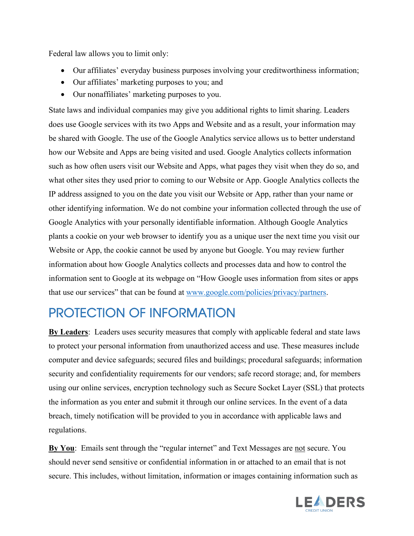Federal law allows you to limit only:

- Our affiliates' everyday business purposes involving your creditworthiness information;
- Our affiliates' marketing purposes to you; and
- Our nonaffiliates' marketing purposes to you.

State laws and individual companies may give you additional rights to limit sharing. Leaders does use Google services with its two Apps and Website and as a result, your information may be shared with Google. The use of the Google Analytics service allows us to better understand how our Website and Apps are being visited and used. Google Analytics collects information such as how often users visit our Website and Apps, what pages they visit when they do so, and what other sites they used prior to coming to our Website or App. Google Analytics collects the IP address assigned to you on the date you visit our Website or App, rather than your name or other identifying information. We do not combine your information collected through the use of Google Analytics with your personally identifiable information. Although Google Analytics plants a cookie on your web browser to identify you as a unique user the next time you visit our Website or App, the cookie cannot be used by anyone but Google. You may review further information about how Google Analytics collects and processes data and how to control the information sent to Google at its webpage on "How Google uses information from sites or apps that use our services" that can be found at [www.google.com/policies/privacy/partners.](http://www.google.com/policies/privacy/partners)

### PROTECTION OF INFORMATION

**By Leaders**: Leaders uses security measures that comply with applicable federal and state laws to protect your personal information from unauthorized access and use. These measures include computer and device safeguards; secured files and buildings; procedural safeguards; information security and confidentiality requirements for our vendors; safe record storage; and, for members using our online services, encryption technology such as Secure Socket Layer (SSL) that protects the information as you enter and submit it through our online services. In the event of a data breach, timely notification will be provided to you in accordance with applicable laws and regulations.

**By You**: Emails sent through the "regular internet" and Text Messages are not secure. You should never send sensitive or confidential information in or attached to an email that is not secure. This includes, without limitation, information or images containing information such as

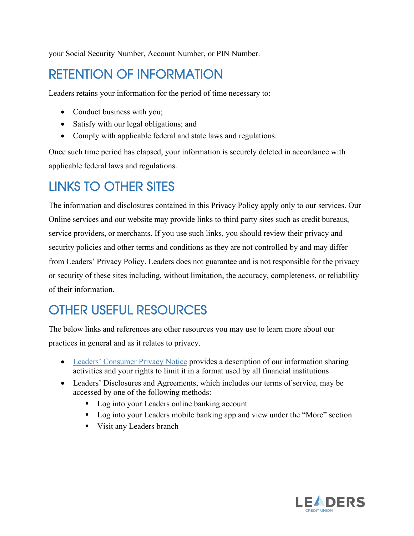your Social Security Number, Account Number, or PIN Number.

### RETENTION OF INFORMATION

Leaders retains your information for the period of time necessary to:

- Conduct business with you;
- Satisfy with our legal obligations; and
- Comply with applicable federal and state laws and regulations.

Once such time period has elapsed, your information is securely deleted in accordance with applicable federal laws and regulations.

### LINKS TO OTHER SITES

The information and disclosures contained in this Privacy Policy apply only to our services. Our Online services and our website may provide links to third party sites such as credit bureaus, service providers, or merchants. If you use such links, you should review their privacy and security policies and other terms and conditions as they are not controlled by and may differ from Leaders' Privacy Policy. Leaders does not guarantee and is not responsible for the privacy or security of these sites including, without limitation, the accuracy, completeness, or reliability of their information.

# OTHER USEFUL RESOURCES

The below links and references are other resources you may use to learn more about our practices in general and as it relates to privacy.

- [Leaders' Consumer Privacy Notice](https://www.leaderscu.org/images/uploads/content_files/Privacty_Policy1021.pdf) provides a description of our information sharing activities and your rights to limit it in a format used by all financial institutions
- Leaders' Disclosures and Agreements, which includes our terms of service, may be accessed by one of the following methods:
	- Log into your Leaders online banking account
	- Log into your Leaders mobile banking app and view under the "More" section
	- Visit any Leaders branch